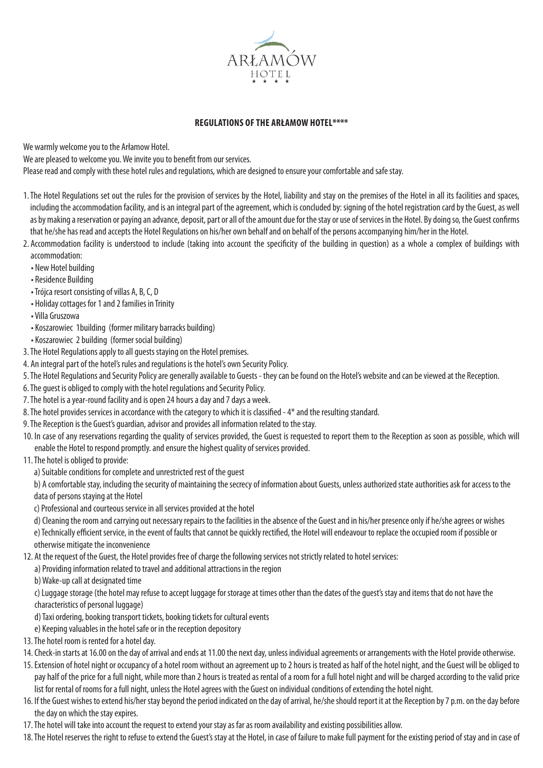

## **REGULATIONS OF THE ARŁAMOW HOTEL\*\*\*\***

We warmly welcome you to the Arłamow Hotel.

We are pleased to welcome you. We invite you to benefit from our services.

Please read and comply with these hotel rules and regulations, which are designed to ensure your comfortable and safe stay.

- 1. The Hotel Regulations set out the rules for the provision of services by the Hotel, liability and stay on the premises of the Hotel in all its facilities and spaces, including the accommodation facility, and is an integral part of the agreement, which is concluded by: signing of the hotel registration card by the Guest, as well as by making a reservation or paying an advance, deposit, part or all of the amount due for the stay or use of services in the Hotel. By doing so, the Guest confirms that he/she has read and accepts the Hotel Regulations on his/her own behalf and on behalf of the persons accompanying him/her in the Hotel.
- 2. Accommodation facility is understood to include (taking into account the specificity of the building in question) as a whole a complex of buildings with accommodation:
	- New Hotel building
	- Residence Building
	- Trójca resort consisting of villas A, B, C, D
	- Holiday cottages for 1 and 2 families in Trinity
	- Villa Gruszowa
	- Koszarowiec 1building (former military barracks building)
	- Koszarowiec 2 building (former social building)
- 3. The Hotel Regulations apply to all guests staying on the Hotel premises.
- 4. An integral part of the hotel's rules and regulations is the hotel's own Security Policy.
- 5. The Hotel Regulations and Security Policy are generally available to Guests they can be found on the Hotel's website and can be viewed at the Reception.
- 6. The guest is obliged to comply with the hotel regulations and Security Policy.
- 7. The hotel is a year-round facility and is open 24 hours a day and 7 days a week.
- 8. The hotel provides services in accordance with the category to which it is classified 4\* and the resulting standard.
- 9. The Reception is the Guest's guardian, advisor and provides all information related to the stay.
- 10. In case of any reservations regarding the quality of services provided, the Guest is requested to report them to the Reception as soon as possible, which will enable the Hotel to respond promptly. and ensure the highest quality of services provided.
- 11. The hotel is obliged to provide:
	- a) Suitable conditions for complete and unrestricted rest of the guest

b) A comfortable stay, including the security of maintaining the secrecy of information about Guests, unless authorized state authorities ask for access to the data of persons staying at the Hotel

c) Professional and courteous service in all services provided at the hotel

d) Cleaning the room and carrying out necessary repairs to the facilities in the absence of the Guest and in his/her presence only if he/she agrees or wishes

e) Technically efficient service, in the event of faults that cannot be quickly rectified, the Hotel will endeavour to replace the occupied room if possible or otherwise mitigate the inconvenience

- 12. At the request of the Guest, the Hotel provides free of charge the following services not strictly related to hotel services:
	- a) Providing information related to travel and additional attractions in the region
	- b) Wake-up call at designated time

c) Luggage storage (the hotel may refuse to accept luggage for storage at times other than the dates of the guest's stay and items that do not have the characteristics of personal luggage)

d) Taxi ordering, booking transport tickets, booking tickets for cultural events

e) Keeping valuables in the hotel safe or in the reception depository

- 13. The hotel room is rented for a hotel day.
- 14. Check-in starts at 16.00 on the day of arrival and ends at 11.00 the next day, unless individual agreements or arrangements with the Hotel provide otherwise.
- 15. Extension of hotel night or occupancy of a hotel room without an agreement up to 2 hours is treated as half of the hotel night, and the Guest will be obliged to pay half of the price for a full night, while more than 2 hours is treated as rental of a room for a full hotel night and will be charged according to the valid price list for rental of rooms for a full night, unless the Hotel agrees with the Guest on individual conditions of extending the hotel night.
- 16. If the Guest wishes to extend his/her stay beyond the period indicated on the day of arrival, he/she should report it at the Reception by 7 p.m. on the day before the day on which the stay expires.
- 17. The hotel will take into account the request to extend your stay as far as room availability and existing possibilities allow.
- 18. The Hotel reserves the right to refuse to extend the Guest's stay at the Hotel, in case of failure to make full payment for the existing period of stay and in case of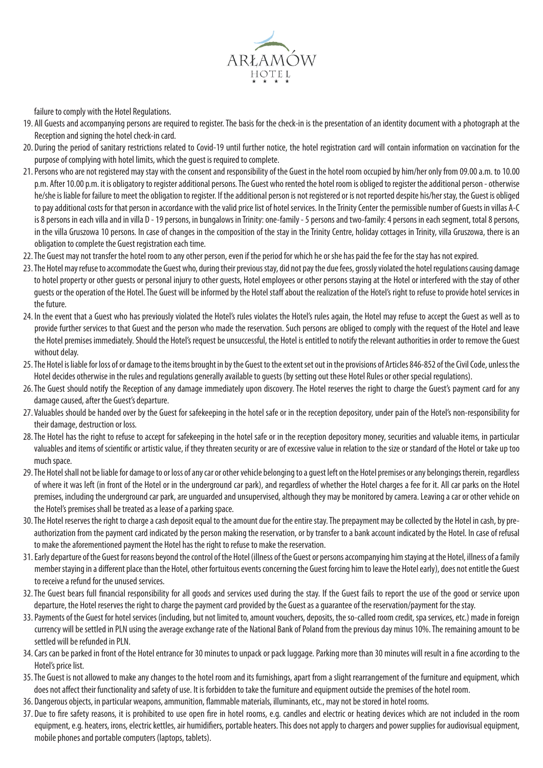

failure to comply with the Hotel Regulations.

- 19. All Guests and accompanying persons are required to register. The basis for the check-in is the presentation of an identity document with a photograph at the Reception and signing the hotel check-in card.
- 20. During the period of sanitary restrictions related to Covid-19 until further notice, the hotel registration card will contain information on vaccination for the purpose of complying with hotel limits, which the guest is required to complete.
- 21. Persons who are not registered may stay with the consent and responsibility of the Guest in the hotel room occupied by him/her only from 09.00 a.m. to 10.00 p.m. After 10.00 p.m. it is obligatory to register additional persons. The Guest who rented the hotel room is obliged to register the additional person - otherwise he/she is liable for failure to meet the obligation to register. If the additional person is not registered or is not reported despite his/her stay, the Guest is obliged to pay additional costs for that person in accordance with the valid price list of hotel services. In the Trinity Center the permissible number of Guests in villas A-C is 8 persons in each villa and in villa D - 19 persons, in bungalows in Trinity: one-family - 5 persons and two-family: 4 persons in each segment, total 8 persons, in the villa Gruszowa 10 persons. In case of changes in the composition of the stay in the Trinity Centre, holiday cottages in Trinity, villa Gruszowa, there is an obligation to complete the Guest registration each time.
- 22. The Guest may not transfer the hotel room to any other person, even if the period for which he or she has paid the fee for the stay has not expired.
- 23. The Hotel may refuse to accommodate the Guest who, during their previous stay, did not pay the due fees, grossly violated the hotel regulations causing damage to hotel property or other guests or personal injury to other guests, Hotel employees or other persons staying at the Hotel or interfered with the stay of other guests or the operation of the Hotel. The Guest will be informed by the Hotel staff about the realization of the Hotel's right to refuse to provide hotel services in the future.
- 24. In the event that a Guest who has previously violated the Hotel's rules violates the Hotel's rules again, the Hotel may refuse to accept the Guest as well as to provide further services to that Guest and the person who made the reservation. Such persons are obliged to comply with the request of the Hotel and leave the Hotel premises immediately. Should the Hotel's request be unsuccessful, the Hotel is entitled to notify the relevant authorities in order to remove the Guest without delay.
- 25. The Hotel is liable for loss of or damage to the items brought in by the Guest to the extent set out in the provisions of Articles 846-852 of the Civil Code, unless the Hotel decides otherwise in the rules and regulations generally available to guests (by setting out these Hotel Rules or other special regulations).
- 26. The Guest should notify the Reception of any damage immediately upon discovery. The Hotel reserves the right to charge the Guest's payment card for any damage caused, after the Guest's departure.
- 27. Valuables should be handed over by the Guest for safekeeping in the hotel safe or in the reception depository, under pain of the Hotel's non-responsibility for their damage, destruction or loss.
- 28. The Hotel has the right to refuse to accept for safekeeping in the hotel safe or in the reception depository money, securities and valuable items, in particular valuables and items of scientific or artistic value, if they threaten security or are of excessive value in relation to the size or standard of the Hotel or take up too much space.
- 29. The Hotel shall not be liable for damage to or loss of any car or other vehicle belonging to a guest left on the Hotel premises or any belongings therein, regardless of where it was left (in front of the Hotel or in the underground car park), and regardless of whether the Hotel charges a fee for it. All car parks on the Hotel premises, including the underground car park, are unguarded and unsupervised, although they may be monitored by camera. Leaving a car or other vehicle on the Hotel's premises shall be treated as a lease of a parking space.
- 30. The Hotel reserves the right to charge a cash deposit equal to the amount due for the entire stay. The prepayment may be collected by the Hotel in cash, by preauthorization from the payment card indicated by the person making the reservation, or by transfer to a bank account indicated by the Hotel. In case of refusal to make the aforementioned payment the Hotel has the right to refuse to make the reservation.
- 31. Early departure of the Guest for reasons beyond the control of the Hotel (illness of the Guest or persons accompanying him staying at the Hotel, illness of a family member staying in a different place than the Hotel, other fortuitous events concerning the Guest forcing him to leave the Hotel early), does not entitle the Guest to receive a refund for the unused services.
- 32. The Guest bears full financial responsibility for all goods and services used during the stay. If the Guest fails to report the use of the good or service upon departure, the Hotel reserves the right to charge the payment card provided by the Guest as a guarantee of the reservation/payment for the stay.
- 33. Payments of the Guest for hotel services (including, but not limited to, amount vouchers, deposits, the so-called room credit, spa services, etc.) made in foreign currency will be settled in PLN using the average exchange rate of the National Bank of Poland from the previous day minus 10%. The remaining amount to be settled will be refunded in PLN.
- 34. Cars can be parked in front of the Hotel entrance for 30 minutes to unpack or pack luggage. Parking more than 30 minutes will result in a fine according to the Hotel's price list.
- 35. The Guest is not allowed to make any changes to the hotel room and its furnishings, apart from a slight rearrangement of the furniture and equipment, which does not affect their functionality and safety of use. It is forbidden to take the furniture and equipment outside the premises of the hotel room.
- 36. Dangerous objects, in particular weapons, ammunition, flammable materials, illuminants, etc., may not be stored in hotel rooms.
- 37. Due to fire safety reasons, it is prohibited to use open fire in hotel rooms, e.g. candles and electric or heating devices which are not included in the room equipment, e.g. heaters, irons, electric kettles, air humidifiers, portable heaters. This does not apply to chargers and power supplies for audiovisual equipment, mobile phones and portable computers (laptops, tablets).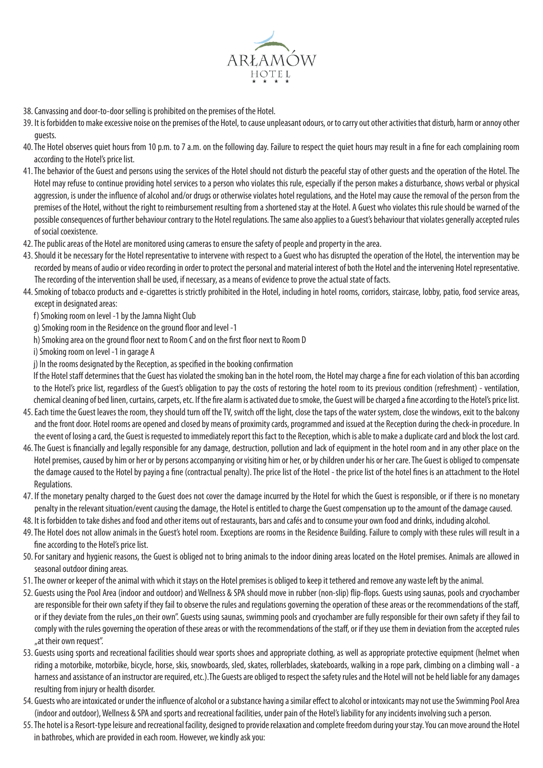

- 38. Canvassing and door-to-door selling is prohibited on the premises of the Hotel.
- 39. It is forbidden to make excessive noise on the premises of the Hotel, to cause unpleasant odours, or to carry out other activities that disturb, harm or annoy other guests.
- 40. The Hotel observes quiet hours from 10 p.m. to 7 a.m. on the following day. Failure to respect the quiet hours may result in a fine for each complaining room according to the Hotel's price list.
- 41. The behavior of the Guest and persons using the services of the Hotel should not disturb the peaceful stay of other guests and the operation of the Hotel. The Hotel may refuse to continue providing hotel services to a person who violates this rule, especially if the person makes a disturbance, shows verbal or physical aggression, is under the influence of alcohol and/or drugs or otherwise violates hotel regulations, and the Hotel may cause the removal of the person from the premises of the Hotel, without the right to reimbursement resulting from a shortened stay at the Hotel. A Guest who violates this rule should be warned of the possible consequences of further behaviour contrary to the Hotel regulations. The same also applies to a Guest's behaviour that violates generally accepted rules of social coexistence.
- 42. The public areas of the Hotel are monitored using cameras to ensure the safety of people and property in the area.
- 43. Should it be necessary for the Hotel representative to intervene with respect to a Guest who has disrupted the operation of the Hotel, the intervention may be recorded by means of audio or video recording in order to protect the personal and material interest of both the Hotel and the intervening Hotel representative. The recording of the intervention shall be used, if necessary, as a means of evidence to prove the actual state of facts.
- 44. Smoking of tobacco products and e-cigarettes is strictly prohibited in the Hotel, including in hotel rooms, corridors, staircase, lobby, patio, food service areas, except in designated areas:
	- f) Smoking room on level -1 by the Jamna Night Club
	- g) Smoking room in the Residence on the ground floor and level -1
	- h) Smoking area on the ground floor next to Room C and on the first floor next to Room D
	- i) Smoking room on level -1 in garage A
	- j) In the rooms designated by the Reception, as specified in the booking confirmation

If the Hotel staff determines that the Guest has violated the smoking ban in the hotel room, the Hotel may charge a fine for each violation of this ban according to the Hotel's price list, regardless of the Guest's obligation to pay the costs of restoring the hotel room to its previous condition (refreshment) - ventilation, chemical cleaning of bed linen, curtains, carpets, etc. If the fire alarm is activated due to smoke, the Guest will be charged a fine according to the Hotel's price list.

- 45. Each time the Guest leaves the room, they should turn off the TV, switch off the light, close the taps of the water system, close the windows, exit to the balcony and the front door. Hotel rooms are opened and closed by means of proximity cards, programmed and issued at the Reception during the check-in procedure. In the event of losing a card, the Guest is requested to immediately report this fact to the Reception, which is able to make a duplicate card and block the lost card.
- 46. The Guest is financially and legally responsible for any damage, destruction, pollution and lack of equipment in the hotel room and in any other place on the Hotel premises, caused by him or her or by persons accompanying or visiting him or her, or by children under his or her care. The Guest is obliged to compensate the damage caused to the Hotel by paying a fine (contractual penalty). The price list of the Hotel - the price list of the hotel fines is an attachment to the Hotel Regulations.
- 47. If the monetary penalty charged to the Guest does not cover the damage incurred by the Hotel for which the Guest is responsible, or if there is no monetary penalty in the relevant situation/event causing the damage, the Hotel is entitled to charge the Guest compensation up to the amount of the damage caused.
- 48. It is forbidden to take dishes and food and other items out of restaurants, bars and cafés and to consume your own food and drinks, including alcohol.
- 49. The Hotel does not allow animals in the Guest's hotel room. Exceptions are rooms in the Residence Building. Failure to comply with these rules will result in a fine according to the Hotel's price list.
- 50. For sanitary and hygienic reasons, the Guest is obliged not to bring animals to the indoor dining areas located on the Hotel premises. Animals are allowed in seasonal outdoor dining areas.
- 51. The owner or keeper of the animal with which it stays on the Hotel premises is obliged to keep it tethered and remove any waste left by the animal.
- 52. Guests using the Pool Area (indoor and outdoor) and Wellness & SPA should move in rubber (non-slip) flip-flops. Guests using saunas, pools and cryochamber are responsible for their own safety if they fail to observe the rules and regulations governing the operation of these areas or the recommendations of the staff, or if they deviate from the rules "on their own". Guests using saunas, swimming pools and cryochamber are fully responsible for their own safety if they fail to comply with the rules governing the operation of these areas or with the recommendations of the staff, or if they use them in deviation from the accepted rules "at their own request".
- 53. Guests using sports and recreational facilities should wear sports shoes and appropriate clothing, as well as appropriate protective equipment (helmet when riding a motorbike, motorbike, bicycle, horse, skis, snowboards, sled, skates, rollerblades, skateboards, walking in a rope park, climbing on a climbing wall - a harness and assistance of an instructor are required, etc.). The Guests are obliged to respect the safety rules and the Hotel will not be held liable for any damages resulting from injury or health disorder.
- 54. Guests who are intoxicated or under the influence of alcohol or a substance having a similar effect to alcohol or intoxicants may not use the Swimming Pool Area (indoor and outdoor), Wellness & SPA and sports and recreational facilities, under pain of the Hotel's liability for any incidents involving such a person.
- 55. The hotel is a Resort-type leisure and recreational facility, designed to provide relaxation and complete freedom during your stay. You can move around the Hotel in bathrobes, which are provided in each room. However, we kindly ask you: